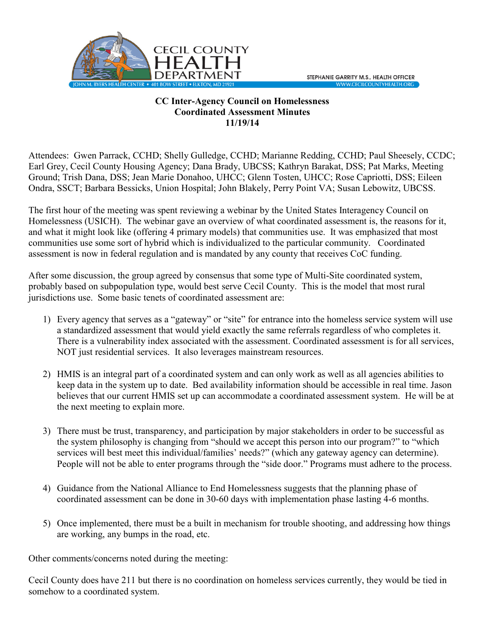

## **CC Inter-Agency Council on Homelessness Coordinated Assessment Minutes 11/19/14**

Attendees: Gwen Parrack, CCHD; Shelly Gulledge, CCHD; Marianne Redding, CCHD; Paul Sheesely, CCDC; Earl Grey, Cecil County Housing Agency; Dana Brady, UBCSS; Kathryn Barakat, DSS; Pat Marks, Meeting Ground; Trish Dana, DSS; Jean Marie Donahoo, UHCC; Glenn Tosten, UHCC; Rose Capriotti, DSS; Eileen Ondra, SSCT; Barbara Bessicks, Union Hospital; John Blakely, Perry Point VA; Susan Lebowitz, UBCSS.

The first hour of the meeting was spent reviewing a webinar by the United States Interagency Council on Homelessness (USICH). The webinar gave an overview of what coordinated assessment is, the reasons for it, and what it might look like (offering 4 primary models) that communities use. It was emphasized that most communities use some sort of hybrid which is individualized to the particular community. Coordinated assessment is now in federal regulation and is mandated by any county that receives CoC funding.

After some discussion, the group agreed by consensus that some type of Multi-Site coordinated system, probably based on subpopulation type, would best serve Cecil County. This is the model that most rural jurisdictions use. Some basic tenets of coordinated assessment are:

- 1) Every agency that serves as a "gateway" or "site" for entrance into the homeless service system will use a standardized assessment that would yield exactly the same referrals regardless of who completes it. There is a vulnerability index associated with the assessment. Coordinated assessment is for all services, NOT just residential services. It also leverages mainstream resources.
- 2) HMIS is an integral part of a coordinated system and can only work as well as all agencies abilities to keep data in the system up to date. Bed availability information should be accessible in real time. Jason believes that our current HMIS set up can accommodate a coordinated assessment system. He will be at the next meeting to explain more.
- 3) There must be trust, transparency, and participation by major stakeholders in order to be successful as the system philosophy is changing from "should we accept this person into our program?" to "which services will best meet this individual/families' needs?" (which any gateway agency can determine). People will not be able to enter programs through the "side door." Programs must adhere to the process.
- 4) Guidance from the National Alliance to End Homelessness suggests that the planning phase of coordinated assessment can be done in 30-60 days with implementation phase lasting 4-6 months.
- 5) Once implemented, there must be a built in mechanism for trouble shooting, and addressing how things are working, any bumps in the road, etc.

Other comments/concerns noted during the meeting:

Cecil County does have 211 but there is no coordination on homeless services currently, they would be tied in somehow to a coordinated system.